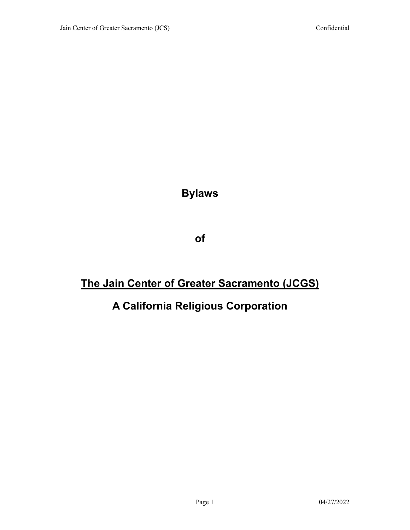**Bylaws** 

**of**

# **The Jain Center of Greater Sacramento (JCGS)**

# **A California Religious Corporation**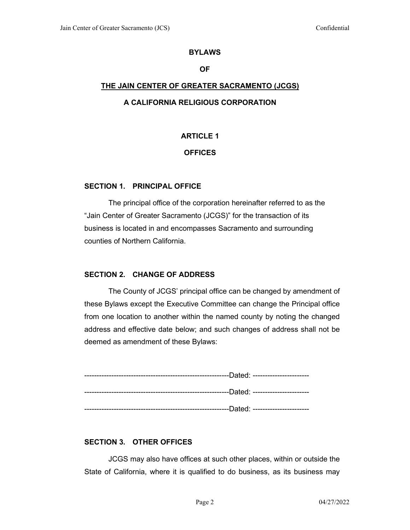# **BYLAWS**

#### **OF**

# **THE JAIN CENTER OF GREATER SACRAMENTO (JCGS)**

# **A CALIFORNIA RELIGIOUS CORPORATION**

# **ARTICLE 1**

# **OFFICES**

# **SECTION 1. PRINCIPAL OFFICE**

The principal office of the corporation hereinafter referred to as the "Jain Center of Greater Sacramento (JCGS)" for the transaction of its business is located in and encompasses Sacramento and surrounding counties of Northern California.

# **SECTION 2. CHANGE OF ADDRESS**

The County of JCGS' principal office can be changed by amendment of these Bylaws except the Executive Committee can change the Principal office from one location to another within the named county by noting the changed address and effective date below; and such changes of address shall not be deemed as amendment of these Bylaws:

-----------------------------------------------------------Dated: ----------------------- -----------------------------------------------------------Dated: ----------------------- -----------------------------------------------------------Dated: -----------------------

# **SECTION 3. OTHER OFFICES**

JCGS may also have offices at such other places, within or outside the State of California, where it is qualified to do business, as its business may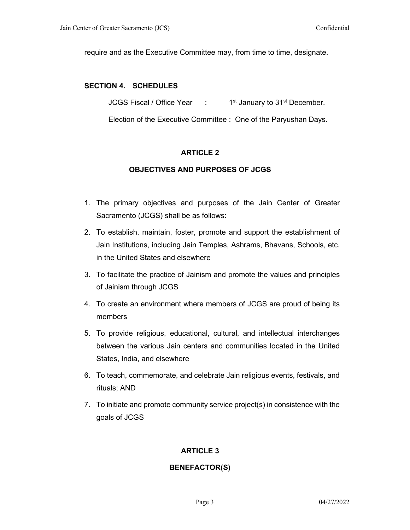require and as the Executive Committee may, from time to time, designate.

#### **SECTION 4. SCHEDULES**

JCGS Fiscal / Office Year : 1<sup>st</sup> January to 31<sup>st</sup> December.

Election of the Executive Committee : One of the Paryushan Days.

#### **ARTICLE 2**

# **OBJECTIVES AND PURPOSES OF JCGS**

- 1. The primary objectives and purposes of the Jain Center of Greater Sacramento (JCGS) shall be as follows:
- 2. To establish, maintain, foster, promote and support the establishment of Jain Institutions, including Jain Temples, Ashrams, Bhavans, Schools, etc. in the United States and elsewhere
- 3. To facilitate the practice of Jainism and promote the values and principles of Jainism through JCGS
- 4. To create an environment where members of JCGS are proud of being its members
- 5. To provide religious, educational, cultural, and intellectual interchanges between the various Jain centers and communities located in the United States, India, and elsewhere
- 6. To teach, commemorate, and celebrate Jain religious events, festivals, and rituals; AND
- 7. To initiate and promote community service project(s) in consistence with the goals of JCGS

# **ARTICLE 3**

#### **BENEFACTOR(S)**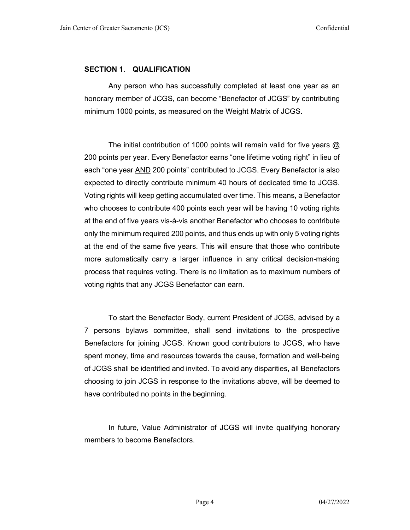#### **SECTION 1. QUALIFICATION**

Any person who has successfully completed at least one year as an honorary member of JCGS, can become "Benefactor of JCGS" by contributing minimum 1000 points, as measured on the Weight Matrix of JCGS.

The initial contribution of 1000 points will remain valid for five years  $\omega$ 200 points per year. Every Benefactor earns "one lifetime voting right" in lieu of each "one year AND 200 points" contributed to JCGS. Every Benefactor is also expected to directly contribute minimum 40 hours of dedicated time to JCGS. Voting rights will keep getting accumulated over time. This means, a Benefactor who chooses to contribute 400 points each year will be having 10 voting rights at the end of five years vis-à-vis another Benefactor who chooses to contribute only the minimum required 200 points, and thus ends up with only 5 voting rights at the end of the same five years. This will ensure that those who contribute more automatically carry a larger influence in any critical decision-making process that requires voting. There is no limitation as to maximum numbers of voting rights that any JCGS Benefactor can earn.

To start the Benefactor Body, current President of JCGS, advised by a 7 persons bylaws committee, shall send invitations to the prospective Benefactors for joining JCGS. Known good contributors to JCGS, who have spent money, time and resources towards the cause, formation and well-being of JCGS shall be identified and invited. To avoid any disparities, all Benefactors choosing to join JCGS in response to the invitations above, will be deemed to have contributed no points in the beginning.

In future, Value Administrator of JCGS will invite qualifying honorary members to become Benefactors.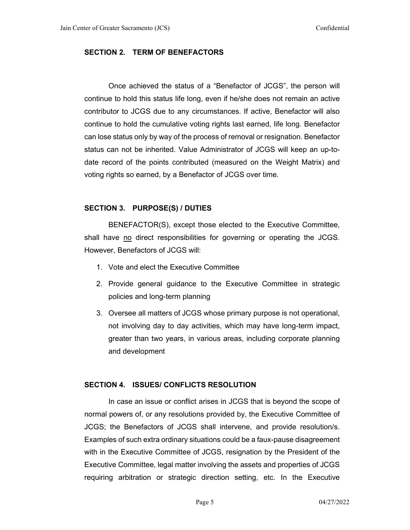# **SECTION 2. TERM OF BENEFACTORS**

Once achieved the status of a "Benefactor of JCGS", the person will continue to hold this status life long, even if he/she does not remain an active contributor to JCGS due to any circumstances. If active, Benefactor will also continue to hold the cumulative voting rights last earned, life long. Benefactor can lose status only by way of the process of removal or resignation. Benefactor status can not be inherited. Value Administrator of JCGS will keep an up-todate record of the points contributed (measured on the Weight Matrix) and voting rights so earned, by a Benefactor of JCGS over time.

## **SECTION 3. PURPOSE(S) / DUTIES**

BENEFACTOR(S), except those elected to the Executive Committee, shall have no direct responsibilities for governing or operating the JCGS. However, Benefactors of JCGS will:

- 1. Vote and elect the Executive Committee
- 2. Provide general guidance to the Executive Committee in strategic policies and long-term planning
- 3. Oversee all matters of JCGS whose primary purpose is not operational, not involving day to day activities, which may have long-term impact, greater than two years, in various areas, including corporate planning and development

#### **SECTION 4. ISSUES/ CONFLICTS RESOLUTION**

In case an issue or conflict arises in JCGS that is beyond the scope of normal powers of, or any resolutions provided by, the Executive Committee of JCGS; the Benefactors of JCGS shall intervene, and provide resolution/s. Examples of such extra ordinary situations could be a faux-pause disagreement with in the Executive Committee of JCGS, resignation by the President of the Executive Committee, legal matter involving the assets and properties of JCGS requiring arbitration or strategic direction setting, etc. In the Executive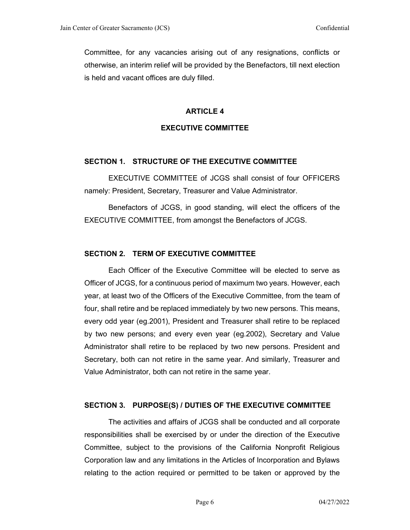Committee, for any vacancies arising out of any resignations, conflicts or otherwise, an interim relief will be provided by the Benefactors, till next election is held and vacant offices are duly filled.

#### **ARTICLE 4**

#### **EXECUTIVE COMMITTEE**

#### **SECTION 1. STRUCTURE OF THE EXECUTIVE COMMITTEE**

EXECUTIVE COMMITTEE of JCGS shall consist of four OFFICERS namely: President, Secretary, Treasurer and Value Administrator.

Benefactors of JCGS, in good standing, will elect the officers of the EXECUTIVE COMMITTEE, from amongst the Benefactors of JCGS.

# **SECTION 2. TERM OF EXECUTIVE COMMITTEE**

Each Officer of the Executive Committee will be elected to serve as Officer of JCGS, for a continuous period of maximum two years. However, each year, at least two of the Officers of the Executive Committee, from the team of four, shall retire and be replaced immediately by two new persons. This means, every odd year (eg.2001), President and Treasurer shall retire to be replaced by two new persons; and every even year (eg.2002), Secretary and Value Administrator shall retire to be replaced by two new persons. President and Secretary, both can not retire in the same year. And similarly, Treasurer and Value Administrator, both can not retire in the same year.

#### **SECTION 3. PURPOSE(S) / DUTIES OF THE EXECUTIVE COMMITTEE**

The activities and affairs of JCGS shall be conducted and all corporate responsibilities shall be exercised by or under the direction of the Executive Committee, subject to the provisions of the California Nonprofit Religious Corporation law and any limitations in the Articles of Incorporation and Bylaws relating to the action required or permitted to be taken or approved by the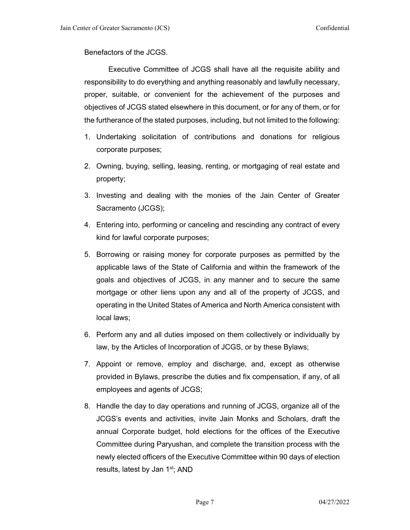Benefactors of the JCGS.

Executive Committee of JCGS shall have all the requisite ability and responsibility to do everything and anything reasonably and lawfully necessary, proper, suitable, or convenient for the achievement of the purposes and objectives of JCGS stated elsewhere in this document, or for any of them, or for the furtherance of the stated purposes, including, but not limited to the following:

- 1. Undertaking solicitation of contributions and donations for religious corporate purposes;
- 2. Owning, buying, selling, leasing, renting, or mortgaging of real estate and property;
- 3. Investing and dealing with the monies of the Jain Center of Greater Sacramento (JCGS);
- 4. Entering into, performing or canceling and rescinding any contract of every kind for lawful corporate purposes;
- 5. Borrowing or raising money for corporate purposes as permitted by the applicable laws of the State of California and within the framework of the goals and objectives of JCGS, in any manner and to secure the same mortgage or other liens upon any and all of the property of JCGS, and operating in the United States of America and North America consistent with local laws;
- 6. Perform any and all duties imposed on them collectively or individually by law, by the Articles of Incorporation of JCGS, or by these Bylaws;
- 7. Appoint or remove, employ and discharge, and, except as otherwise provided in Bylaws, prescribe the duties and fix compensation, if any, of all employees and agents of JCGS;
- 8. Handle the day to day operations and running of JCGS, organize all of the JCGS's events and activities, invite Jain Monks and Scholars, draft the annual Corporate budget, hold elections for the offices of the Executive Committee during Paryushan, and complete the transition process with the newly elected officers of the Executive Committee within 90 days of election results, latest by Jan 1<sup>st</sup>; AND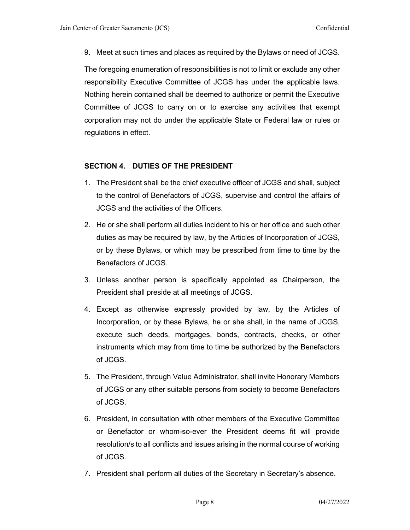9. Meet at such times and places as required by the Bylaws or need of JCGS.

The foregoing enumeration of responsibilities is not to limit or exclude any other responsibility Executive Committee of JCGS has under the applicable laws. Nothing herein contained shall be deemed to authorize or permit the Executive Committee of JCGS to carry on or to exercise any activities that exempt corporation may not do under the applicable State or Federal law or rules or regulations in effect.

# **SECTION 4. DUTIES OF THE PRESIDENT**

- 1. The President shall be the chief executive officer of JCGS and shall, subject to the control of Benefactors of JCGS, supervise and control the affairs of JCGS and the activities of the Officers.
- 2. He or she shall perform all duties incident to his or her office and such other duties as may be required by law, by the Articles of Incorporation of JCGS, or by these Bylaws, or which may be prescribed from time to time by the Benefactors of JCGS.
- 3. Unless another person is specifically appointed as Chairperson, the President shall preside at all meetings of JCGS.
- 4. Except as otherwise expressly provided by law, by the Articles of Incorporation, or by these Bylaws, he or she shall, in the name of JCGS, execute such deeds, mortgages, bonds, contracts, checks, or other instruments which may from time to time be authorized by the Benefactors of JCGS.
- 5. The President, through Value Administrator, shall invite Honorary Members of JCGS or any other suitable persons from society to become Benefactors of JCGS.
- 6. President, in consultation with other members of the Executive Committee or Benefactor or whom-so-ever the President deems fit will provide resolution/s to all conflicts and issues arising in the normal course of working of JCGS.
- 7. President shall perform all duties of the Secretary in Secretary's absence.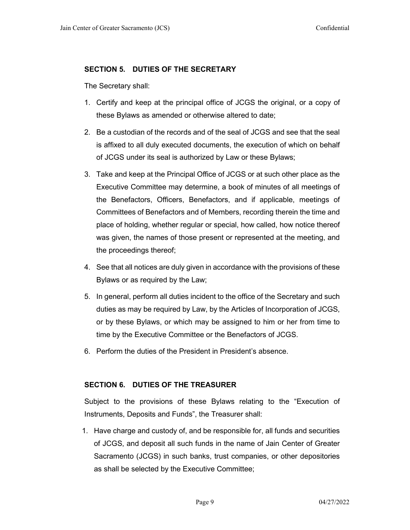## **SECTION 5. DUTIES OF THE SECRETARY**

The Secretary shall:

- 1. Certify and keep at the principal office of JCGS the original, or a copy of these Bylaws as amended or otherwise altered to date;
- 2. Be a custodian of the records and of the seal of JCGS and see that the seal is affixed to all duly executed documents, the execution of which on behalf of JCGS under its seal is authorized by Law or these Bylaws;
- 3. Take and keep at the Principal Office of JCGS or at such other place as the Executive Committee may determine, a book of minutes of all meetings of the Benefactors, Officers, Benefactors, and if applicable, meetings of Committees of Benefactors and of Members, recording therein the time and place of holding, whether regular or special, how called, how notice thereof was given, the names of those present or represented at the meeting, and the proceedings thereof;
- 4. See that all notices are duly given in accordance with the provisions of these Bylaws or as required by the Law;
- 5. In general, perform all duties incident to the office of the Secretary and such duties as may be required by Law, by the Articles of Incorporation of JCGS, or by these Bylaws, or which may be assigned to him or her from time to time by the Executive Committee or the Benefactors of JCGS.
- 6. Perform the duties of the President in President's absence.

# **SECTION 6. DUTIES OF THE TREASURER**

Subject to the provisions of these Bylaws relating to the "Execution of Instruments, Deposits and Funds", the Treasurer shall:

1. Have charge and custody of, and be responsible for, all funds and securities of JCGS, and deposit all such funds in the name of Jain Center of Greater Sacramento (JCGS) in such banks, trust companies, or other depositories as shall be selected by the Executive Committee;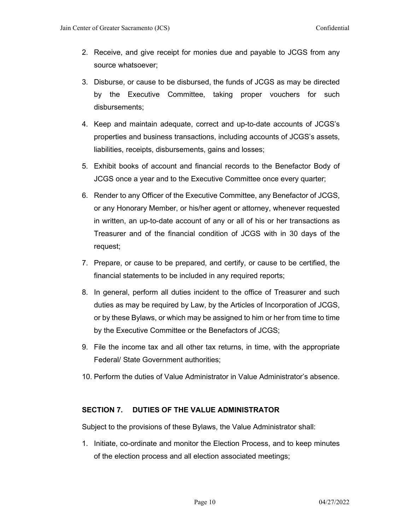- 2. Receive, and give receipt for monies due and payable to JCGS from any source whatsoever;
- 3. Disburse, or cause to be disbursed, the funds of JCGS as may be directed by the Executive Committee, taking proper vouchers for such disbursements;
- 4. Keep and maintain adequate, correct and up-to-date accounts of JCGS's properties and business transactions, including accounts of JCGS's assets, liabilities, receipts, disbursements, gains and losses;
- 5. Exhibit books of account and financial records to the Benefactor Body of JCGS once a year and to the Executive Committee once every quarter;
- 6. Render to any Officer of the Executive Committee, any Benefactor of JCGS, or any Honorary Member, or his/her agent or attorney, whenever requested in written, an up-to-date account of any or all of his or her transactions as Treasurer and of the financial condition of JCGS with in 30 days of the request;
- 7. Prepare, or cause to be prepared, and certify, or cause to be certified, the financial statements to be included in any required reports;
- 8. In general, perform all duties incident to the office of Treasurer and such duties as may be required by Law, by the Articles of Incorporation of JCGS, or by these Bylaws, or which may be assigned to him or her from time to time by the Executive Committee or the Benefactors of JCGS;
- 9. File the income tax and all other tax returns, in time, with the appropriate Federal/ State Government authorities;
- 10. Perform the duties of Value Administrator in Value Administrator's absence.

# **SECTION 7. DUTIES OF THE VALUE ADMINISTRATOR**

Subject to the provisions of these Bylaws, the Value Administrator shall:

1. Initiate, co-ordinate and monitor the Election Process, and to keep minutes of the election process and all election associated meetings;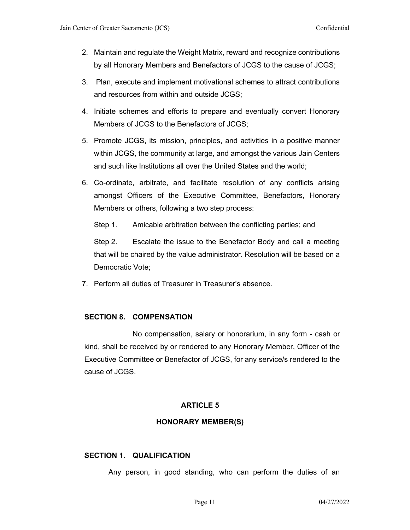- 2. Maintain and regulate the Weight Matrix, reward and recognize contributions by all Honorary Members and Benefactors of JCGS to the cause of JCGS;
- 3. Plan, execute and implement motivational schemes to attract contributions and resources from within and outside JCGS;
- 4. Initiate schemes and efforts to prepare and eventually convert Honorary Members of JCGS to the Benefactors of JCGS;
- 5. Promote JCGS, its mission, principles, and activities in a positive manner within JCGS, the community at large, and amongst the various Jain Centers and such like Institutions all over the United States and the world;
- 6. Co-ordinate, arbitrate, and facilitate resolution of any conflicts arising amongst Officers of the Executive Committee, Benefactors, Honorary Members or others, following a two step process:

Step 1. Amicable arbitration between the conflicting parties; and

Step 2. Escalate the issue to the Benefactor Body and call a meeting that will be chaired by the value administrator. Resolution will be based on a Democratic Vote;

7. Perform all duties of Treasurer in Treasurer's absence.

# **SECTION 8. COMPENSATION**

No compensation, salary or honorarium, in any form - cash or kind, shall be received by or rendered to any Honorary Member, Officer of the Executive Committee or Benefactor of JCGS, for any service/s rendered to the cause of JCGS.

# **ARTICLE 5**

#### **HONORARY MEMBER(S)**

## **SECTION 1. QUALIFICATION**

Any person, in good standing, who can perform the duties of an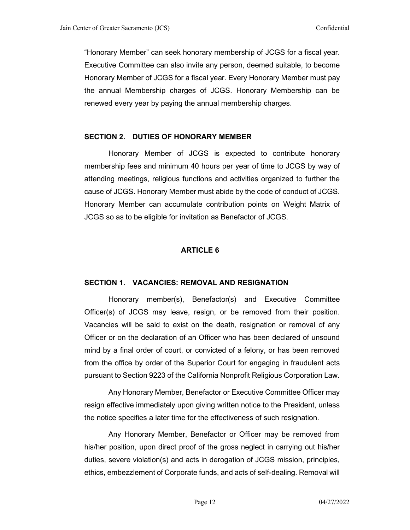"Honorary Member" can seek honorary membership of JCGS for a fiscal year. Executive Committee can also invite any person, deemed suitable, to become Honorary Member of JCGS for a fiscal year. Every Honorary Member must pay the annual Membership charges of JCGS. Honorary Membership can be renewed every year by paying the annual membership charges.

#### **SECTION 2. DUTIES OF HONORARY MEMBER**

Honorary Member of JCGS is expected to contribute honorary membership fees and minimum 40 hours per year of time to JCGS by way of attending meetings, religious functions and activities organized to further the cause of JCGS. Honorary Member must abide by the code of conduct of JCGS. Honorary Member can accumulate contribution points on Weight Matrix of JCGS so as to be eligible for invitation as Benefactor of JCGS.

# **ARTICLE 6**

#### **SECTION 1. VACANCIES: REMOVAL AND RESIGNATION**

Honorary member(s), Benefactor(s) and Executive Committee Officer(s) of JCGS may leave, resign, or be removed from their position. Vacancies will be said to exist on the death, resignation or removal of any Officer or on the declaration of an Officer who has been declared of unsound mind by a final order of court, or convicted of a felony, or has been removed from the office by order of the Superior Court for engaging in fraudulent acts pursuant to Section 9223 of the California Nonprofit Religious Corporation Law.

Any Honorary Member, Benefactor or Executive Committee Officer may resign effective immediately upon giving written notice to the President, unless the notice specifies a later time for the effectiveness of such resignation.

Any Honorary Member, Benefactor or Officer may be removed from his/her position, upon direct proof of the gross neglect in carrying out his/her duties, severe violation(s) and acts in derogation of JCGS mission, principles, ethics, embezzlement of Corporate funds, and acts of self-dealing. Removal will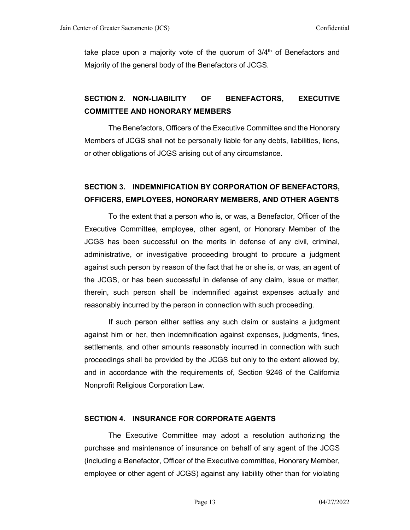take place upon a majority vote of the quorum of  $3/4^{\text{th}}$  of Benefactors and Majority of the general body of the Benefactors of JCGS.

# **SECTION 2. NON-LIABILITY OF BENEFACTORS, EXECUTIVE COMMITTEE AND HONORARY MEMBERS**

The Benefactors, Officers of the Executive Committee and the Honorary Members of JCGS shall not be personally liable for any debts, liabilities, liens, or other obligations of JCGS arising out of any circumstance.

# **SECTION 3. INDEMNIFICATION BY CORPORATION OF BENEFACTORS, OFFICERS, EMPLOYEES, HONORARY MEMBERS, AND OTHER AGENTS**

To the extent that a person who is, or was, a Benefactor, Officer of the Executive Committee, employee, other agent, or Honorary Member of the JCGS has been successful on the merits in defense of any civil, criminal, administrative, or investigative proceeding brought to procure a judgment against such person by reason of the fact that he or she is, or was, an agent of the JCGS, or has been successful in defense of any claim, issue or matter, therein, such person shall be indemnified against expenses actually and reasonably incurred by the person in connection with such proceeding.

If such person either settles any such claim or sustains a judgment against him or her, then indemnification against expenses, judgments, fines, settlements, and other amounts reasonably incurred in connection with such proceedings shall be provided by the JCGS but only to the extent allowed by, and in accordance with the requirements of, Section 9246 of the California Nonprofit Religious Corporation Law.

#### **SECTION 4. INSURANCE FOR CORPORATE AGENTS**

The Executive Committee may adopt a resolution authorizing the purchase and maintenance of insurance on behalf of any agent of the JCGS (including a Benefactor, Officer of the Executive committee, Honorary Member, employee or other agent of JCGS) against any liability other than for violating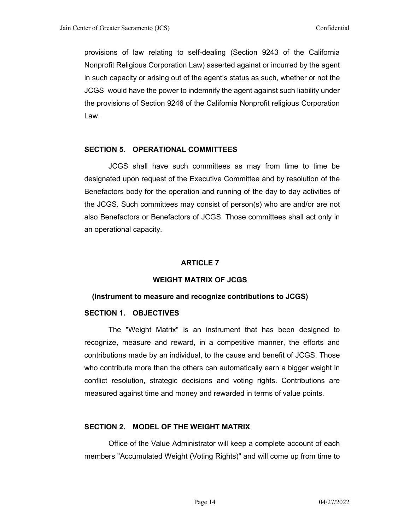provisions of law relating to self-dealing (Section 9243 of the California Nonprofit Religious Corporation Law) asserted against or incurred by the agent in such capacity or arising out of the agent's status as such, whether or not the JCGS would have the power to indemnify the agent against such liability under the provisions of Section 9246 of the California Nonprofit religious Corporation Law.

#### **SECTION 5. OPERATIONAL COMMITTEES**

JCGS shall have such committees as may from time to time be designated upon request of the Executive Committee and by resolution of the Benefactors body for the operation and running of the day to day activities of the JCGS. Such committees may consist of person(s) who are and/or are not also Benefactors or Benefactors of JCGS. Those committees shall act only in an operational capacity.

#### **ARTICLE 7**

# **WEIGHT MATRIX OF JCGS**

#### **(Instrument to measure and recognize contributions to JCGS)**

#### **SECTION 1. OBJECTIVES**

The "Weight Matrix" is an instrument that has been designed to recognize, measure and reward, in a competitive manner, the efforts and contributions made by an individual, to the cause and benefit of JCGS. Those who contribute more than the others can automatically earn a bigger weight in conflict resolution, strategic decisions and voting rights. Contributions are measured against time and money and rewarded in terms of value points.

#### **SECTION 2. MODEL OF THE WEIGHT MATRIX**

Office of the Value Administrator will keep a complete account of each members "Accumulated Weight (Voting Rights)" and will come up from time to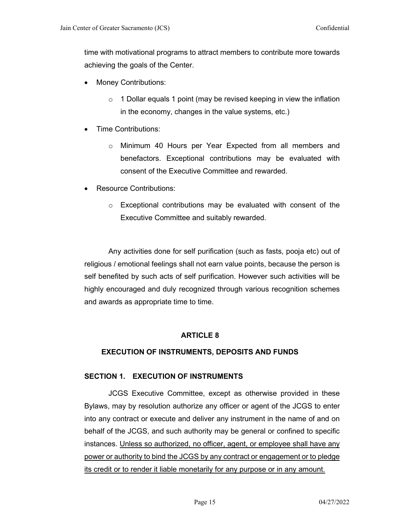time with motivational programs to attract members to contribute more towards achieving the goals of the Center.

- Money Contributions:
	- $\circ$  1 Dollar equals 1 point (may be revised keeping in view the inflation in the economy, changes in the value systems, etc.)
- Time Contributions:
	- o Minimum 40 Hours per Year Expected from all members and benefactors. Exceptional contributions may be evaluated with consent of the Executive Committee and rewarded.
- Resource Contributions:
	- o Exceptional contributions may be evaluated with consent of the Executive Committee and suitably rewarded.

Any activities done for self purification (such as fasts, pooja etc) out of religious / emotional feelings shall not earn value points, because the person is self benefited by such acts of self purification. However such activities will be highly encouraged and duly recognized through various recognition schemes and awards as appropriate time to time.

# **ARTICLE 8**

# **EXECUTION OF INSTRUMENTS, DEPOSITS AND FUNDS**

# **SECTION 1. EXECUTION OF INSTRUMENTS**

JCGS Executive Committee, except as otherwise provided in these Bylaws, may by resolution authorize any officer or agent of the JCGS to enter into any contract or execute and deliver any instrument in the name of and on behalf of the JCGS, and such authority may be general or confined to specific instances. Unless so authorized, no officer, agent, or employee shall have any power or authority to bind the JCGS by any contract or engagement or to pledge its credit or to render it liable monetarily for any purpose or in any amount.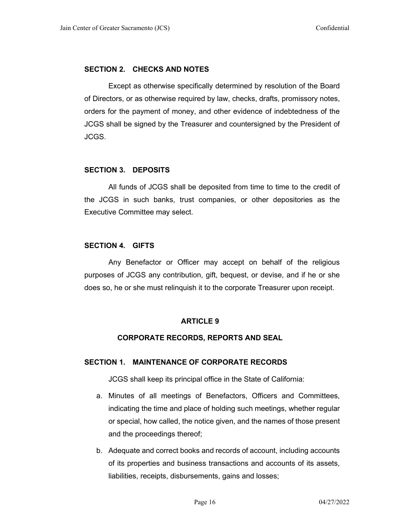#### **SECTION 2. CHECKS AND NOTES**

Except as otherwise specifically determined by resolution of the Board of Directors, or as otherwise required by law, checks, drafts, promissory notes, orders for the payment of money, and other evidence of indebtedness of the JCGS shall be signed by the Treasurer and countersigned by the President of JCGS.

#### **SECTION 3. DEPOSITS**

All funds of JCGS shall be deposited from time to time to the credit of the JCGS in such banks, trust companies, or other depositories as the Executive Committee may select.

#### **SECTION 4. GIFTS**

Any Benefactor or Officer may accept on behalf of the religious purposes of JCGS any contribution, gift, bequest, or devise, and if he or she does so, he or she must relinquish it to the corporate Treasurer upon receipt.

#### **ARTICLE 9**

#### **CORPORATE RECORDS, REPORTS AND SEAL**

#### **SECTION 1. MAINTENANCE OF CORPORATE RECORDS**

JCGS shall keep its principal office in the State of California:

- a. Minutes of all meetings of Benefactors, Officers and Committees, indicating the time and place of holding such meetings, whether regular or special, how called, the notice given, and the names of those present and the proceedings thereof;
- b. Adequate and correct books and records of account, including accounts of its properties and business transactions and accounts of its assets, liabilities, receipts, disbursements, gains and losses;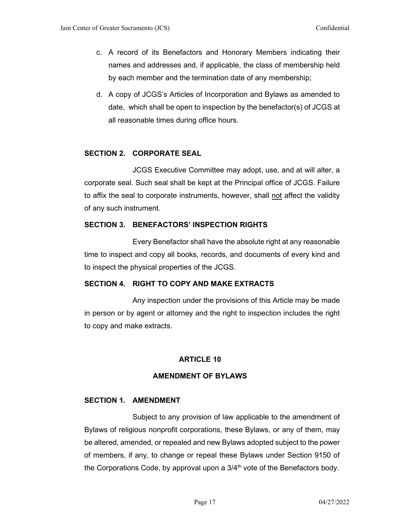- c. A record of its Benefactors and Honorary Members indicating their names and addresses and, if applicable, the class of membership held by each member and the termination date of any membership;
- d. A copy of JCGS's Articles of Incorporation and Bylaws as amended to date, which shall be open to inspection by the benefactor(s) of JCGS at all reasonable times during office hours.

#### **SECTION 2. CORPORATE SEAL**

 JCGS Executive Committee may adopt, use, and at will alter, a corporate seal. Such seal shall be kept at the Principal office of JCGS. Failure to affix the seal to corporate instruments, however, shall not affect the validity of any such instrument.

#### **SECTION 3. BENEFACTORS' INSPECTION RIGHTS**

 Every Benefactor shall have the absolute right at any reasonable time to inspect and copy all books, records, and documents of every kind and to inspect the physical properties of the JCGS.

#### **SECTION 4. RIGHT TO COPY AND MAKE EXTRACTS**

 Any inspection under the provisions of this Article may be made in person or by agent or attorney and the right to inspection includes the right to copy and make extracts.

#### **ARTICLE 10**

#### **AMENDMENT OF BYLAWS**

#### **SECTION 1. AMENDMENT**

 Subject to any provision of law applicable to the amendment of Bylaws of religious nonprofit corporations, these Bylaws, or any of them, may be altered, amended, or repealed and new Bylaws adopted subject to the power of members, if any, to change or repeal these Bylaws under Section 9150 of the Corporations Code, by approval upon a  $3/4<sup>th</sup>$  vote of the Benefactors body.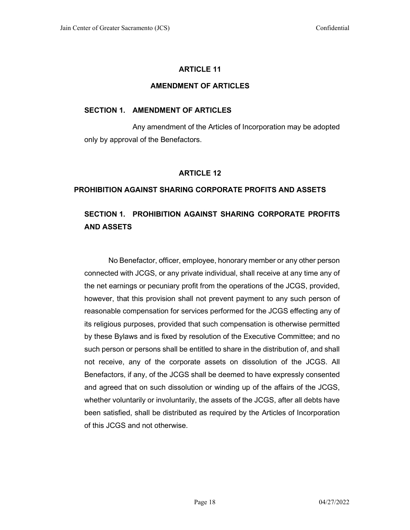# **ARTICLE 11**

# **AMENDMENT OF ARTICLES**

# **SECTION 1. AMENDMENT OF ARTICLES**

Any amendment of the Articles of Incorporation may be adopted only by approval of the Benefactors.

# **ARTICLE 12**

# **PROHIBITION AGAINST SHARING CORPORATE PROFITS AND ASSETS**

# **SECTION 1. PROHIBITION AGAINST SHARING CORPORATE PROFITS AND ASSETS**

No Benefactor, officer, employee, honorary member or any other person connected with JCGS, or any private individual, shall receive at any time any of the net earnings or pecuniary profit from the operations of the JCGS, provided, however, that this provision shall not prevent payment to any such person of reasonable compensation for services performed for the JCGS effecting any of its religious purposes, provided that such compensation is otherwise permitted by these Bylaws and is fixed by resolution of the Executive Committee; and no such person or persons shall be entitled to share in the distribution of, and shall not receive, any of the corporate assets on dissolution of the JCGS. All Benefactors, if any, of the JCGS shall be deemed to have expressly consented and agreed that on such dissolution or winding up of the affairs of the JCGS, whether voluntarily or involuntarily, the assets of the JCGS, after all debts have been satisfied, shall be distributed as required by the Articles of Incorporation of this JCGS and not otherwise.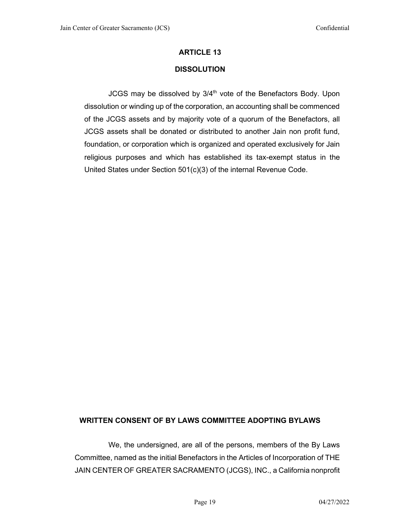#### **ARTICLE 13**

#### **DISSOLUTION**

JCGS may be dissolved by 3/4<sup>th</sup> vote of the Benefactors Body. Upon dissolution or winding up of the corporation, an accounting shall be commenced of the JCGS assets and by majority vote of a quorum of the Benefactors, all JCGS assets shall be donated or distributed to another Jain non profit fund, foundation, or corporation which is organized and operated exclusively for Jain religious purposes and which has established its tax-exempt status in the United States under Section 501(c)(3) of the internal Revenue Code.

# **WRITTEN CONSENT OF BY LAWS COMMITTEE ADOPTING BYLAWS**

We, the undersigned, are all of the persons, members of the By Laws Committee, named as the initial Benefactors in the Articles of Incorporation of THE JAIN CENTER OF GREATER SACRAMENTO (JCGS), INC., a California nonprofit